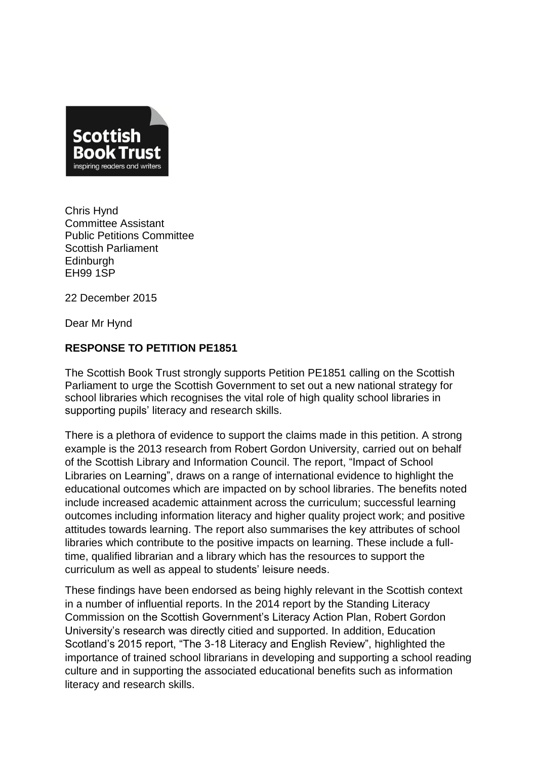

Chris Hynd Committee Assistant Public Petitions Committee Scottish Parliament **Edinburgh** EH99 1SP

22 December 2015

Dear Mr Hynd

## **RESPONSE TO PETITION PE1851**

The Scottish Book Trust strongly supports Petition PE1851 calling on the Scottish Parliament to urge the Scottish Government to set out a new national strategy for school libraries which recognises the vital role of high quality school libraries in supporting pupils' literacy and research skills.

There is a plethora of evidence to support the claims made in this petition. A strong example is the 2013 research from Robert Gordon University, carried out on behalf of the Scottish Library and Information Council. The report, "Impact of School Libraries on Learning", draws on a range of international evidence to highlight the educational outcomes which are impacted on by school libraries. The benefits noted include increased academic attainment across the curriculum; successful learning outcomes including information literacy and higher quality project work; and positive attitudes towards learning. The report also summarises the key attributes of school libraries which contribute to the positive impacts on learning. These include a fulltime, qualified librarian and a library which has the resources to support the curriculum as well as appeal to students' leisure needs.

These findings have been endorsed as being highly relevant in the Scottish context in a number of influential reports. In the 2014 report by the Standing Literacy Commission on the Scottish Government's Literacy Action Plan, Robert Gordon University's research was directly citied and supported. In addition, Education Scotland's 2015 report, "The 3-18 Literacy and English Review", highlighted the importance of trained school librarians in developing and supporting a school reading culture and in supporting the associated educational benefits such as information literacy and research skills.